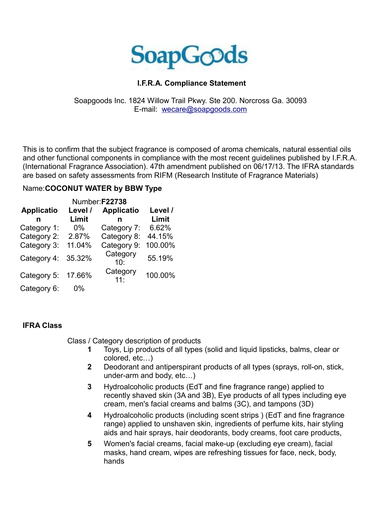

## **I.F.R.A. Compliance Statement**

## Soapgoods Inc. 1824 Willow Trail Pkwy. Ste 200. Norcross Ga. 30093 E-mail: [wecare@soapgoods.com](mailto:wecare@soapgoods.com)

This is to confirm that the subject fragrance is composed of aroma chemicals, natural essential oils and other functional components in compliance with the most recent guidelines published by I.F.R.A. (International Fragrance Association). 47th amendment published on 06/17/13. The IFRA standards are based on safety assessments from RIFM (Research Institute of Fragrance Materials)

## Name:**COCONUT WATER by BBW Type**

| Number:F22738     |         |                        |         |
|-------------------|---------|------------------------|---------|
| <b>Applicatio</b> | Level / | <b>Applicatio</b>      | Level / |
| n                 | Limit   | n                      | Limit   |
| Category 1:       | $0\%$   | Category 7:            | 6.62%   |
| Category 2:       | 2.87%   | Category 8:            | 44.15%  |
| Category 3:       | 11.04%  | Category 9:            | 100.00% |
| Category 4:       | 35.32%  | Category<br>10:        | 55.19%  |
| Category 5:       | 17.66%  | Category<br>$11 \cdot$ | 100.00% |
| Category 6:       | 0%      |                        |         |

## **IFRA Class**

Class / Category description of products

- **1** Toys, Lip products of all types (solid and liquid lipsticks, balms, clear or colored, etc…)
- **2** Deodorant and antiperspirant products of all types (sprays, roll-on, stick, under-arm and body, etc…)
- **3** Hydroalcoholic products (EdT and fine fragrance range) applied to recently shaved skin (3A and 3B), Eye products of all types including eye cream, men's facial creams and balms (3C), and tampons (3D)
- **4** Hydroalcoholic products (including scent strips ) (EdT and fine fragrance range) applied to unshaven skin, ingredients of perfume kits, hair styling aids and hair sprays, hair deodorants, body creams, foot care products,
- **5** Women's facial creams, facial make-up (excluding eye cream), facial masks, hand cream, wipes are refreshing tissues for face, neck, body, hands